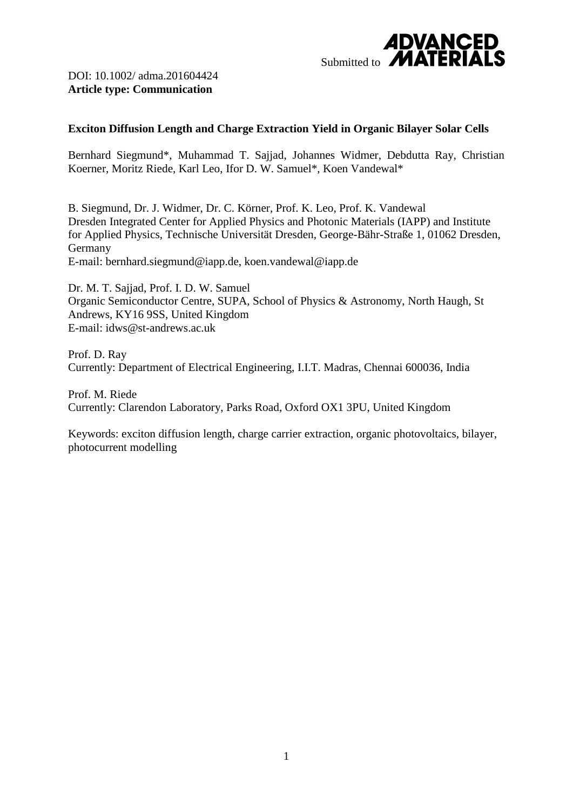

### **Exciton Diffusion Length and Charge Extraction Yield in Organic Bilayer Solar Cells**

Bernhard Siegmund\*, Muhammad T. Sajjad, Johannes Widmer, Debdutta Ray, Christian Koerner, Moritz Riede, Karl Leo, Ifor D. W. Samuel\*, Koen Vandewal\*

B. Siegmund, Dr. J. Widmer, Dr. C. Körner, Prof. K. Leo, Prof. K. Vandewal Dresden Integrated Center for Applied Physics and Photonic Materials (IAPP) and Institute for Applied Physics, Technische Universität Dresden, George-Bähr-Straße 1, 01062 Dresden, Germany E-mail: bernhard.siegmund@iapp.de, koen.vandewal@iapp.de

Dr. M. T. Sajjad, Prof. I. D. W. Samuel Organic Semiconductor Centre, SUPA, School of Physics & Astronomy, North Haugh, St Andrews, KY16 9SS, United Kingdom E-mail: idws@st-andrews.ac.uk

Prof. D. Ray Currently: Department of Electrical Engineering, I.I.T. Madras, Chennai 600036, India

Prof. M. Riede Currently: Clarendon Laboratory, Parks Road, Oxford OX1 3PU, United Kingdom

Keywords: exciton diffusion length, charge carrier extraction, organic photovoltaics, bilayer, photocurrent modelling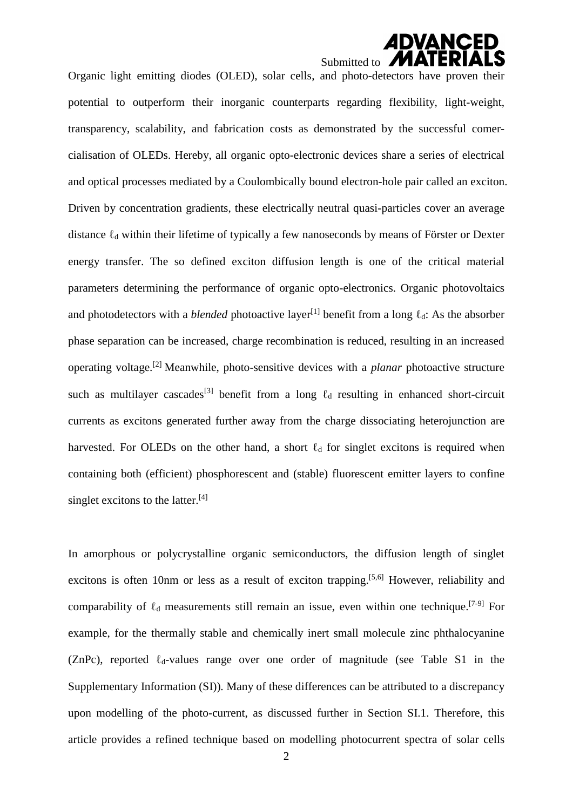# *ADVANCED* Submitted to  $\blacksquare$

Organic light emitting diodes (OLED), solar cells, and photo-detectors have proven their potential to outperform their inorganic counterparts regarding flexibility, light-weight, transparency, scalability, and fabrication costs as demonstrated by the successful comercialisation of OLEDs. Hereby, all organic opto-electronic devices share a series of electrical and optical processes mediated by a Coulombically bound electron-hole pair called an exciton. Driven by concentration gradients, these electrically neutral quasi-particles cover an average distance  $\ell_d$  within their lifetime of typically a few nanoseconds by means of Förster or Dexter energy transfer. The so defined exciton diffusion length is one of the critical material parameters determining the performance of organic opto-electronics. Organic photovoltaics and photodetectors with a *blended* photoactive layer<sup>[1]</sup> benefit from a long  $\ell_d$ : As the absorber phase separation can be increased, charge recombination is reduced, resulting in an increased operating voltage.[2] Meanwhile, photo-sensitive devices with a *planar* photoactive structure such as multilayer cascades<sup>[3]</sup> benefit from a long  $\ell_d$  resulting in enhanced short-circuit currents as excitons generated further away from the charge dissociating heterojunction are harvested. For OLEDs on the other hand, a short  $\ell_d$  for singlet excitons is required when containing both (efficient) phosphorescent and (stable) fluorescent emitter layers to confine singlet excitons to the latter.<sup>[4]</sup>

In amorphous or polycrystalline organic semiconductors, the diffusion length of singlet excitons is often 10nm or less as a result of exciton trapping.<sup>[5,6]</sup> However, reliability and comparability of  $\ell_d$  measurements still remain an issue, even within one technique.<sup>[7-9]</sup> For example, for the thermally stable and chemically inert small molecule zinc phthalocyanine (ZnPc), reported  $\ell_d$ -values range over one order of magnitude (see Table S1 in the Supplementary Information (SI)). Many of these differences can be attributed to a discrepancy upon modelling of the photo-current, as discussed further in Section SI.1. Therefore, this article provides a refined technique based on modelling photocurrent spectra of solar cells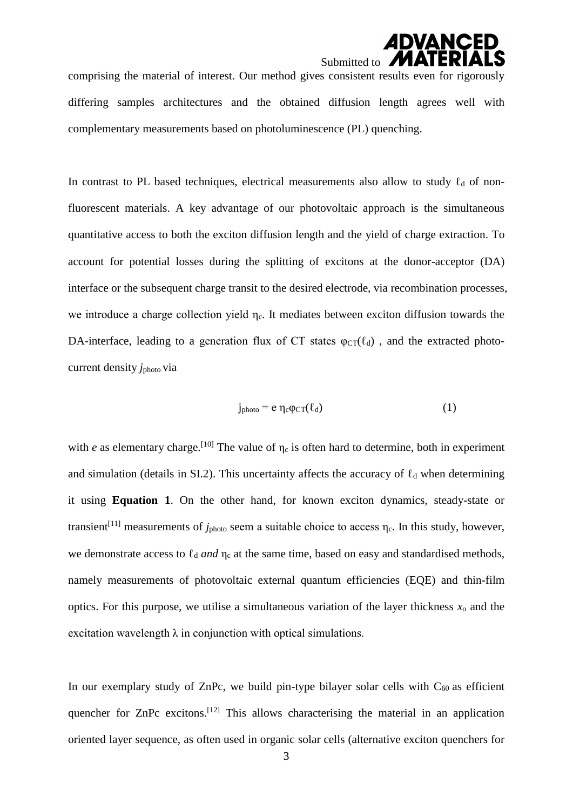# **ADVANCED** Submitted to **M**

comprising the material of interest. Our method gives consistent results even for rigorously differing samples architectures and the obtained diffusion length agrees well with complementary measurements based on photoluminescence (PL) quenching.

In contrast to PL based techniques, electrical measurements also allow to study  $\ell_d$  of nonfluorescent materials. A key advantage of our photovoltaic approach is the simultaneous quantitative access to both the exciton diffusion length and the yield of charge extraction. To account for potential losses during the splitting of excitons at the donor-acceptor (DA) interface or the subsequent charge transit to the desired electrode, via recombination processes, we introduce a charge collection yield η<sub>c</sub>. It mediates between exciton diffusion towards the DA-interface, leading to a generation flux of CT states  $\varphi_{CT}(\ell_d)$ , and the extracted photocurrent density *j*photo via

$$
j_{photo} = e \eta_c \varphi_{CT}(\ell_d)
$$
 (1)

with *e* as elementary charge.<sup>[10]</sup> The value of  $\eta_c$  is often hard to determine, both in experiment and simulation (details in SI.2). This uncertainty affects the accuracy of  $\ell_d$  when determining it using **Equation 1**. On the other hand, for known exciton dynamics, steady-state or transient<sup>[11]</sup> measurements of  $j_{photo}$  seem a suitable choice to access  $\eta_c$ . In this study, however, we demonstrate access to  $\ell_d$  *and*  $\eta_c$  at the same time, based on easy and standardised methods, namely measurements of photovoltaic external quantum efficiencies (EQE) and thin-film optics. For this purpose, we utilise a simultaneous variation of the layer thickness  $x_0$  and the excitation wavelength  $\lambda$  in conjunction with optical simulations.

In our exemplary study of ZnPc, we build pin-type bilayer solar cells with  $C_{60}$  as efficient quencher for  $\text{ZnPc}$  excitons.<sup>[12]</sup> This allows characterising the material in an application oriented layer sequence, as often used in organic solar cells (alternative exciton quenchers for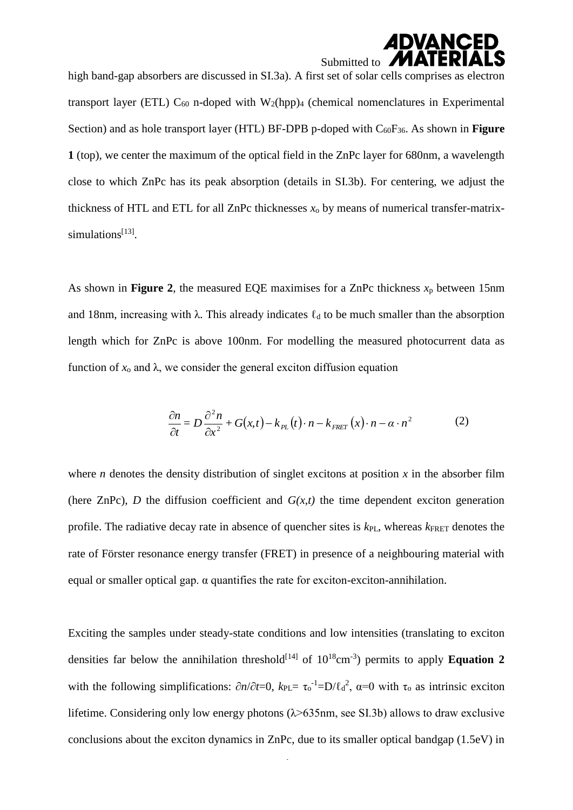# *ADVANCED* Submitted to **MI**

high band-gap absorbers are discussed in SI.3a). A first set of solar cells comprises as electron transport layer (ETL)  $C_{60}$  n-doped with W<sub>2</sub>(hpp)<sub>4</sub> (chemical nomenclatures in Experimental Section) and as hole transport layer (HTL) BF-DPB p-doped with  $C_{60}F_{36}$ . As shown in **Figure 1** (top), we center the maximum of the optical field in the ZnPc layer for 680nm, a wavelength close to which ZnPc has its peak absorption (details in SI.3b). For centering, we adjust the thickness of HTL and ETL for all ZnPc thicknesses *x*<sup>o</sup> by means of numerical transfer-matrixsimulations<sup>[13]</sup>.

As shown in **Figure 2**, the measured EQE maximises for a ZnPc thickness  $x_p$  between 15nm and 18nm, increasing with  $\lambda$ . This already indicates  $\ell_d$  to be much smaller than the absorption length which for ZnPc is above 100nm. For modelling the measured photocurrent data as function of  $x_0$  and  $\lambda$ , we consider the general exciton diffusion equation

$$
\frac{\partial n}{\partial t} = D \frac{\partial^2 n}{\partial x^2} + G(x, t) - k_{PL}(t) \cdot n - k_{FRET}(x) \cdot n - \alpha \cdot n^2 \tag{2}
$$

where *n* denotes the density distribution of singlet excitons at position  $x$  in the absorber film (here ZnPc), *D* the diffusion coefficient and  $G(x,t)$  the time dependent exciton generation profile. The radiative decay rate in absence of quencher sites is  $k_{PL}$ , whereas  $k_{FRET}$  denotes the rate of Förster resonance energy transfer (FRET) in presence of a neighbouring material with equal or smaller optical gap. α quantifies the rate for exciton-exciton-annihilation.

Exciting the samples under steady-state conditions and low intensities (translating to exciton densities far below the annihilation threshold<sup>[14]</sup> of  $10^{18}$ cm<sup>-3</sup>) permits to apply **Equation 2** with the following simplifications:  $\partial n/\partial t = 0$ ,  $k_{PL} = \tau_0^{-1} = D/\ell_d^2$ ,  $\alpha = 0$  with  $\tau_0$  as intrinsic exciton lifetime. Considering only low energy photons  $(\lambda > 635$ nm, see SI.3b) allows to draw exclusive conclusions about the exciton dynamics in ZnPc, due to its smaller optical bandgap (1.5eV) in

4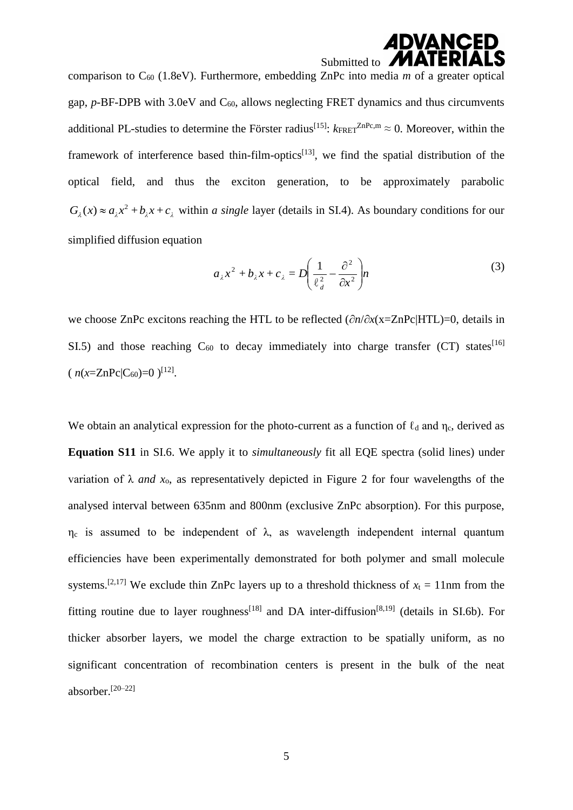### **ADVANCED** Submitted to **MA**

comparison to  $C_{60}$  (1.8eV). Furthermore, embedding ZnPc into media *m* of a greater optical gap,  $p$ -BF-DPB with 3.0eV and  $C_{60}$ , allows neglecting FRET dynamics and thus circumvents additional PL-studies to determine the Förster radius<sup>[15]</sup>:  $k_{\text{FRET}}^{ZnPc,m} \approx 0$ . Moreover, within the framework of interference based thin-film-optics<sup>[13]</sup>, we find the spatial distribution of the optical field, and thus the exciton generation, to be approximately parabolic  $G_{\lambda}(x) \approx a_{\lambda}x^2 + b_{\lambda}x + c_{\lambda}$  within *a single* layer (details in SI.4). As boundary conditions for our simplified diffusion equation

$$
a_{\lambda}x^{2} + b_{\lambda}x + c_{\lambda} = D\left(\frac{1}{\ell_{d}^{2}} - \frac{\partial^{2}}{\partial x^{2}}\right) n
$$
\n(3)

we choose ZnPc excitons reaching the HTL to be reflected (∂*n*/∂*x*(x=ZnPc|HTL)=0, details in SI.5) and those reaching  $C_{60}$  to decay immediately into charge transfer (CT) states<sup>[16]</sup>  $(n(x=ZnPc|C_{60})=0)^{[12]}$ .

We obtain an analytical expression for the photo-current as a function of  $\ell_d$  and  $\eta_c$ , derived as **Equation S11** in SI.6. We apply it to *simultaneously* fit all EQE spectra (solid lines) under variation of  $\lambda$  *and*  $x_0$ , as representatively depicted in Figure 2 for four wavelengths of the analysed interval between 635nm and 800nm (exclusive ZnPc absorption). For this purpose,  $η<sub>c</sub>$  is assumed to be independent of  $λ$ , as wavelength independent internal quantum efficiencies have been experimentally demonstrated for both polymer and small molecule systems.<sup>[2,17]</sup> We exclude thin ZnPc layers up to a threshold thickness of  $x_t = 11$ nm from the fitting routine due to layer roughness<sup>[18]</sup> and DA inter-diffusion<sup>[8,19]</sup> (details in SI.6b). For thicker absorber layers, we model the charge extraction to be spatially uniform, as no significant concentration of recombination centers is present in the bulk of the neat absorber.[20–22]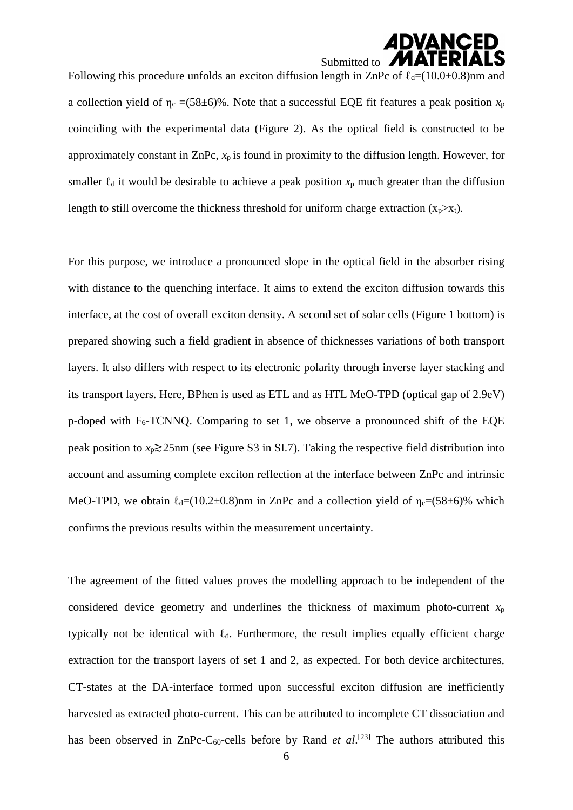### **ADVANCED** Submitted to **MA**

Following this procedure unfolds an exciton diffusion length in ZnPc of  $\ell_d=(10.0\pm0.8)$ nm and a collection yield of  $\eta_c = (58 \pm 6)\%$ . Note that a successful EQE fit features a peak position  $x_p$ coinciding with the experimental data (Figure 2). As the optical field is constructed to be approximately constant in ZnPc, *x*p is found in proximity to the diffusion length. However, for smaller  $\ell_d$  it would be desirable to achieve a peak position  $x_p$  much greater than the diffusion length to still overcome the thickness threshold for uniform charge extraction  $(x_n > x_t)$ .

For this purpose, we introduce a pronounced slope in the optical field in the absorber rising with distance to the quenching interface. It aims to extend the exciton diffusion towards this interface, at the cost of overall exciton density. A second set of solar cells (Figure 1 bottom) is prepared showing such a field gradient in absence of thicknesses variations of both transport layers. It also differs with respect to its electronic polarity through inverse layer stacking and its transport layers. Here, BPhen is used as ETL and as HTL MeO-TPD (optical gap of 2.9eV) p-doped with  $F_6$ -TCNNQ. Comparing to set 1, we observe a pronounced shift of the EQE peak position to *x*p≳25nm (see Figure S3 in SI.7). Taking the respective field distribution into account and assuming complete exciton reflection at the interface between ZnPc and intrinsic MeO-TPD, we obtain  $\ell_d = (10.2 \pm 0.8)$ nm in ZnPc and a collection yield of  $\eta_c = (58 \pm 6)\%$  which confirms the previous results within the measurement uncertainty.

The agreement of the fitted values proves the modelling approach to be independent of the considered device geometry and underlines the thickness of maximum photo-current  $x_p$ typically not be identical with  $\ell_d$ . Furthermore, the result implies equally efficient charge extraction for the transport layers of set 1 and 2, as expected. For both device architectures, CT-states at the DA-interface formed upon successful exciton diffusion are inefficiently harvested as extracted photo-current. This can be attributed to incomplete CT dissociation and has been observed in  $ZnPc-C_{60}$ -cells before by Rand *et al*.<sup>[23]</sup> The authors attributed this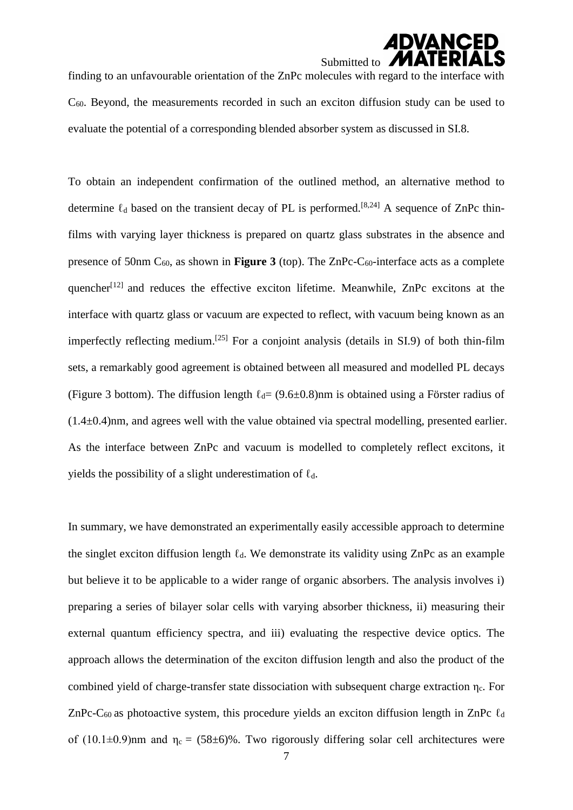# **ADVANCED** Submitted to **M**

finding to an unfavourable orientation of the ZnPc molecules with regard to the interface with C60. Beyond, the measurements recorded in such an exciton diffusion study can be used to evaluate the potential of a corresponding blended absorber system as discussed in SI.8.

To obtain an independent confirmation of the outlined method, an alternative method to determine  $\ell_d$  based on the transient decay of PL is performed.<sup>[8,24]</sup> A sequence of ZnPc thinfilms with varying layer thickness is prepared on quartz glass substrates in the absence and presence of 50nm  $C_{60}$ , as shown in **Figure 3** (top). The ZnPc- $C_{60}$ -interface acts as a complete quencher<sup> $[12]$ </sup> and reduces the effective exciton lifetime. Meanwhile, ZnPc excitons at the interface with quartz glass or vacuum are expected to reflect, with vacuum being known as an imperfectly reflecting medium.<sup>[25]</sup> For a conjoint analysis (details in SI.9) of both thin-film sets, a remarkably good agreement is obtained between all measured and modelled PL decays (Figure 3 bottom). The diffusion length  $\ell_d = (9.6 \pm 0.8)$ nm is obtained using a Förster radius of  $(1.4\pm0.4)$ nm, and agrees well with the value obtained via spectral modelling, presented earlier. As the interface between ZnPc and vacuum is modelled to completely reflect excitons, it yields the possibility of a slight underestimation of  $\ell_d$ .

In summary, we have demonstrated an experimentally easily accessible approach to determine the singlet exciton diffusion length  $\ell_d$ . We demonstrate its validity using ZnPc as an example but believe it to be applicable to a wider range of organic absorbers. The analysis involves i) preparing a series of bilayer solar cells with varying absorber thickness, ii) measuring their external quantum efficiency spectra, and iii) evaluating the respective device optics. The approach allows the determination of the exciton diffusion length and also the product of the combined yield of charge-transfer state dissociation with subsequent charge extraction ηc. For ZnPc-C<sub>60</sub> as photoactive system, this procedure yields an exciton diffusion length in ZnPc  $\ell_d$ of (10.1 $\pm$ 0.9)nm and  $\eta_c = (58\pm6)\%$ . Two rigorously differing solar cell architectures were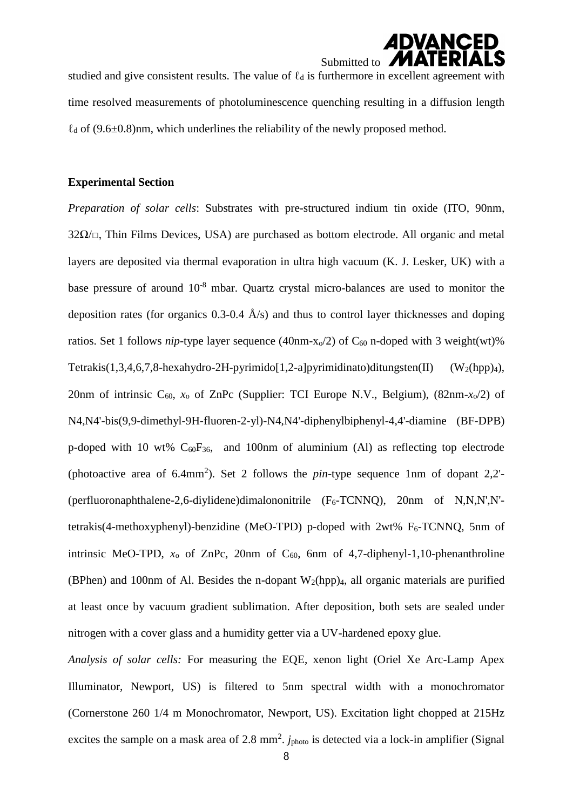## *ADVANCED* Submitted to  $\blacksquare$

studied and give consistent results. The value of  $\ell_d$  is furthermore in excellent agreement with time resolved measurements of photoluminescence quenching resulting in a diffusion length  $\ell_d$  of (9.6 $\pm$ 0.8)nm, which underlines the reliability of the newly proposed method.

#### **Experimental Section**

*Preparation of solar cells*: Substrates with pre-structured indium tin oxide (ITO, 90nm,  $32\Omega/\Box$ , Thin Films Devices, USA) are purchased as bottom electrode. All organic and metal layers are deposited via thermal evaporation in ultra high vacuum (K. J. Lesker, UK) with a base pressure of around 10<sup>-8</sup> mbar. Quartz crystal micro-balances are used to monitor the deposition rates (for organics  $0.3{\text -}0.4$   $\AA$ /s) and thus to control layer thicknesses and doping ratios. Set 1 follows *nip*-type layer sequence (40nm-x<sub>o</sub>/2) of  $C_{60}$  n-doped with 3 weight(wt)% Tetrakis(1,3,4,6,7,8-hexahydro-2H-pyrimido[1,2-a]pyrimidinato)ditungsten(II) (W<sub>2</sub>(hpp)<sub>4</sub>), 20nm of intrinsic  $C_{60}$ ,  $x_0$  of ZnPc (Supplier: TCI Europe N.V., Belgium), (82nm- $x_0/2$ ) of N4,N4'-bis(9,9-dimethyl-9H-fluoren-2-yl)-N4,N4'-diphenylbiphenyl-4,4'-diamine (BF-DPB) p-doped with 10 wt%  $C_{60}F_{36}$ , and 100nm of aluminium (Al) as reflecting top electrode (photoactive area of  $6.4$ mm<sup>2</sup>). Set 2 follows the *pin*-type sequence 1nm of dopant 2,2'-(perfluoronaphthalene-2,6-divlidene)dimalononitrile  $(F<sub>6</sub>-TCNNO)$ , 20nm of N,N,N',N'tetrakis(4-methoxyphenyl)-benzidine (MeO-TPD) p-doped with  $2wt\%$  F<sub>6</sub>-TCNNO, 5nm of intrinsic MeO-TPD,  $x_0$  of ZnPc, 20nm of  $C_{60}$ , 6nm of 4,7-diphenyl-1,10-phenanthroline (BPhen) and 100nm of Al. Besides the n-dopant  $W_2(hpp)_4$ , all organic materials are purified at least once by vacuum gradient sublimation. After deposition, both sets are sealed under nitrogen with a cover glass and a humidity getter via a UV-hardened epoxy glue.

*Analysis of solar cells:* For measuring the EQE, xenon light (Oriel Xe Arc-Lamp Apex Illuminator, Newport, US) is filtered to 5nm spectral width with a monochromator (Cornerstone 260 1/4 m Monochromator, Newport, US). Excitation light chopped at 215Hz excites the sample on a mask area of 2.8 mm<sup>2</sup>.  $j_{photo}$  is detected via a lock-in amplifier (Signal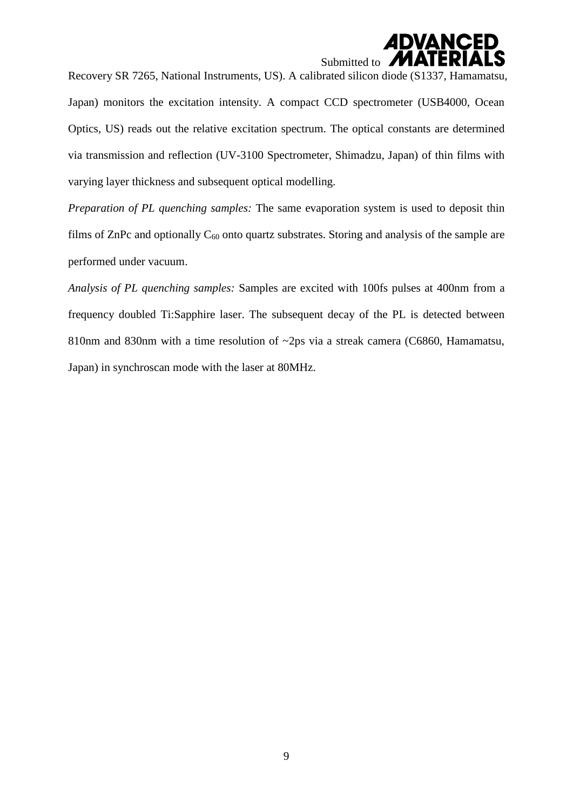# **ADVANCED** Submitted to **N**

Recovery SR 7265, National Instruments, US). A calibrated silicon diode (S1337, Hamamatsu, Japan) monitors the excitation intensity. A compact CCD spectrometer (USB4000, Ocean Optics, US) reads out the relative excitation spectrum. The optical constants are determined via transmission and reflection (UV-3100 Spectrometer, Shimadzu, Japan) of thin films with varying layer thickness and subsequent optical modelling.

*Preparation of PL quenching samples:* The same evaporation system is used to deposit thin films of ZnPc and optionally  $C_{60}$  onto quartz substrates. Storing and analysis of the sample are performed under vacuum.

*Analysis of PL quenching samples:* Samples are excited with 100fs pulses at 400nm from a frequency doubled Ti:Sapphire laser. The subsequent decay of the PL is detected between 810nm and 830nm with a time resolution of ~2ps via a streak camera (C6860, Hamamatsu, Japan) in synchroscan mode with the laser at 80MHz.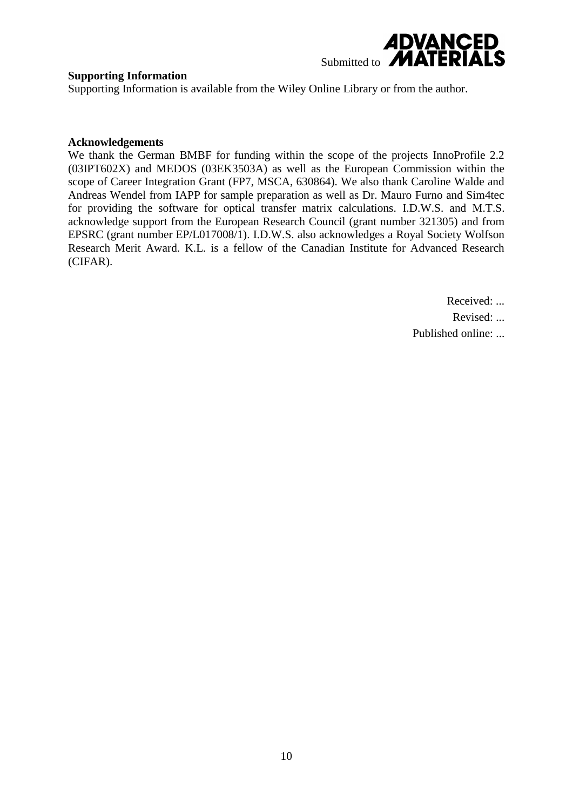

### **Supporting Information**

Supporting Information is available from the Wiley Online Library or from the author.

#### **Acknowledgements**

We thank the German BMBF for funding within the scope of the projects InnoProfile 2.2 (03IPT602X) and MEDOS (03EK3503A) as well as the European Commission within the scope of Career Integration Grant (FP7, MSCA, 630864). We also thank Caroline Walde and Andreas Wendel from IAPP for sample preparation as well as Dr. Mauro Furno and Sim4tec for providing the software for optical transfer matrix calculations. I.D.W.S. and M.T.S. acknowledge support from the European Research Council (grant number 321305) and from EPSRC (grant number EP/L017008/1). I.D.W.S. also acknowledges a Royal Society Wolfson Research Merit Award. K.L. is a fellow of the Canadian Institute for Advanced Research (CIFAR).

Received: ...

Revised: ...

Published online: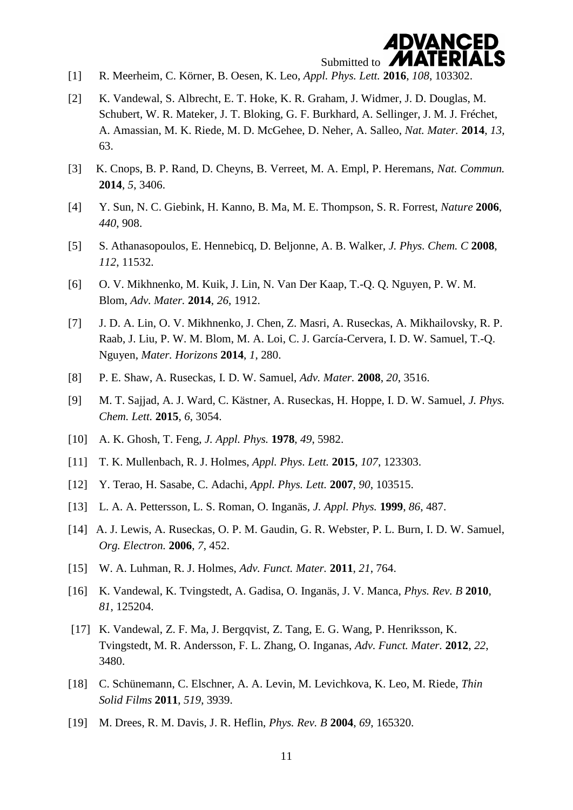

- [1] R. Meerheim, C. Körner, B. Oesen, K. Leo, *Appl. Phys. Lett.* **2016**, *108*, 103302.
- [2] K. Vandewal, S. Albrecht, E. T. Hoke, K. R. Graham, J. Widmer, J. D. Douglas, M. Schubert, W. R. Mateker, J. T. Bloking, G. F. Burkhard, A. Sellinger, J. M. J. Fréchet, A. Amassian, M. K. Riede, M. D. McGehee, D. Neher, A. Salleo, *Nat. Mater.* **2014**, *13*, 63.
- [3] K. Cnops, B. P. Rand, D. Cheyns, B. Verreet, M. A. Empl, P. Heremans, *Nat. Commun.* **2014**, *5*, 3406.
- [4] Y. Sun, N. C. Giebink, H. Kanno, B. Ma, M. E. Thompson, S. R. Forrest, *Nature* **2006**, *440*, 908.
- [5] S. Athanasopoulos, E. Hennebicq, D. Beljonne, A. B. Walker, *J. Phys. Chem. C* **2008**, *112*, 11532.
- [6] O. V. Mikhnenko, M. Kuik, J. Lin, N. Van Der Kaap, T.-Q. Q. Nguyen, P. W. M. Blom, *Adv. Mater.* **2014**, *26*, 1912.
- [7] J. D. A. Lin, O. V. Mikhnenko, J. Chen, Z. Masri, A. Ruseckas, A. Mikhailovsky, R. P. Raab, J. Liu, P. W. M. Blom, M. A. Loi, C. J. García-Cervera, I. D. W. Samuel, T.-Q. Nguyen, *Mater. Horizons* **2014**, *1*, 280.
- [8] P. E. Shaw, A. Ruseckas, I. D. W. Samuel, *Adv. Mater.* **2008**, *20*, 3516.
- [9] M. T. Sajjad, A. J. Ward, C. Kästner, A. Ruseckas, H. Hoppe, I. D. W. Samuel, *J. Phys. Chem. Lett.* **2015**, *6*, 3054.
- [10] A. K. Ghosh, T. Feng, *J. Appl. Phys.* **1978**, *49*, 5982.
- [11] T. K. Mullenbach, R. J. Holmes, *Appl. Phys. Lett.* **2015**, *107*, 123303.
- [12] Y. Terao, H. Sasabe, C. Adachi, *Appl. Phys. Lett.* **2007**, *90*, 103515.
- [13] L. A. A. Pettersson, L. S. Roman, O. Inganäs, *J. Appl. Phys.* **1999**, *86*, 487.
- [14] A. J. Lewis, A. Ruseckas, O. P. M. Gaudin, G. R. Webster, P. L. Burn, I. D. W. Samuel, *Org. Electron.* **2006**, *7*, 452.
- [15] W. A. Luhman, R. J. Holmes, *Adv. Funct. Mater.* **2011**, *21*, 764.
- [16] K. Vandewal, K. Tvingstedt, A. Gadisa, O. Inganäs, J. V. Manca, *Phys. Rev. B* **2010**, *81*, 125204.
- [17] K. Vandewal, Z. F. Ma, J. Bergqvist, Z. Tang, E. G. Wang, P. Henriksson, K. Tvingstedt, M. R. Andersson, F. L. Zhang, O. Inganas, *Adv. Funct. Mater.* **2012**, *22*, 3480.
- [18] C. Schünemann, C. Elschner, A. A. Levin, M. Levichkova, K. Leo, M. Riede, *Thin Solid Films* **2011**, *519*, 3939.
- [19] M. Drees, R. M. Davis, J. R. Heflin, *Phys. Rev. B* **2004**, *69*, 165320.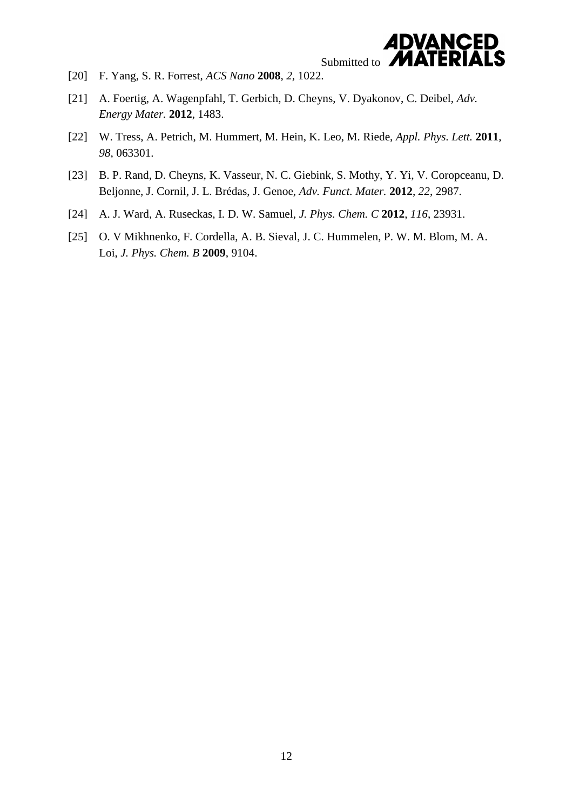

- [20] F. Yang, S. R. Forrest, *ACS Nano* **2008**, *2*, 1022.
- [21] A. Foertig, A. Wagenpfahl, T. Gerbich, D. Cheyns, V. Dyakonov, C. Deibel, *Adv. Energy Mater.* **2012**, 1483.
- [22] W. Tress, A. Petrich, M. Hummert, M. Hein, K. Leo, M. Riede, *Appl. Phys. Lett.* **2011**, *98*, 063301.
- [23] B. P. Rand, D. Cheyns, K. Vasseur, N. C. Giebink, S. Mothy, Y. Yi, V. Coropceanu, D. Beljonne, J. Cornil, J. L. Brédas, J. Genoe, *Adv. Funct. Mater.* **2012**, *22*, 2987.
- [24] A. J. Ward, A. Ruseckas, I. D. W. Samuel, *J. Phys. Chem. C* **2012**, *116*, 23931.
- [25] O. V Mikhnenko, F. Cordella, A. B. Sieval, J. C. Hummelen, P. W. M. Blom, M. A. Loi, *J. Phys. Chem. B* **2009**, 9104.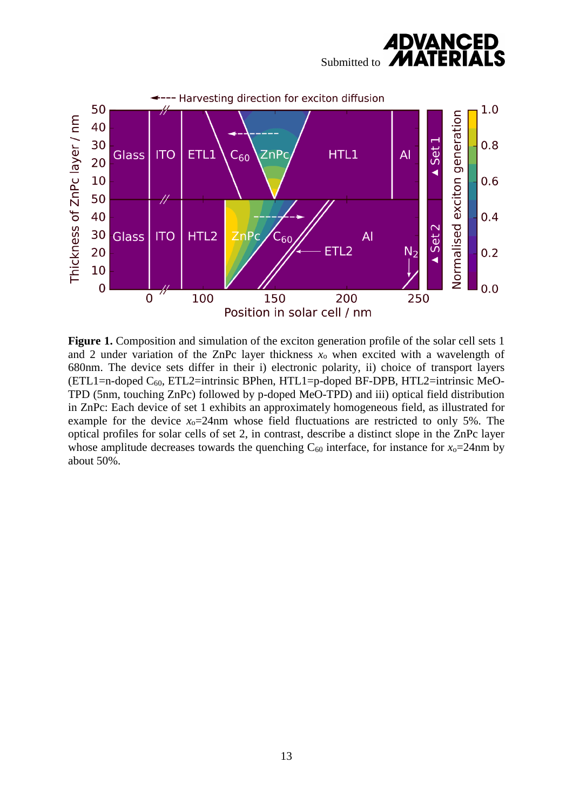



**Figure 1.** Composition and simulation of the exciton generation profile of the solar cell sets 1 and 2 under variation of the ZnPc layer thickness  $x_0$  when excited with a wavelength of 680nm. The device sets differ in their i) electronic polarity, ii) choice of transport layers (ETL1=n-doped  $C_{60}$ , ETL2=intrinsic BPhen, HTL1=p-doped BF-DPB, HTL2=intrinsic MeO-TPD (5nm, touching ZnPc) followed by p-doped MeO-TPD) and iii) optical field distribution in ZnPc: Each device of set 1 exhibits an approximately homogeneous field, as illustrated for example for the device  $x_0=24$ nm whose field fluctuations are restricted to only 5%. The optical profiles for solar cells of set 2, in contrast, describe a distinct slope in the ZnPc layer whose amplitude decreases towards the quenching  $C_{60}$  interface, for instance for  $x_0=24$ nm by about 50%.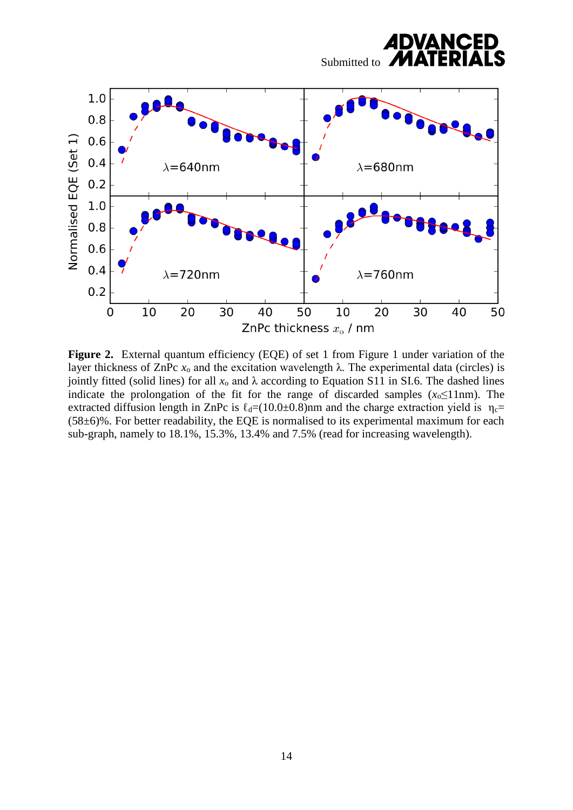

**Figure 2.** External quantum efficiency (EQE) of set 1 from Figure 1 under variation of the layer thickness of ZnPc  $x_0$  and the excitation wavelength λ. The experimental data (circles) is jointly fitted (solid lines) for all  $x_0$  and  $\lambda$  according to Equation S11 in SI.6. The dashed lines indicate the prolongation of the fit for the range of discarded samples  $(x_0 \le 11$ nm). The extracted diffusion length in ZnPc is  $\ell_d=(10.0\pm 0.8)$ nm and the charge extraction yield is  $\eta_c=$ (58±6)%. For better readability, the EQE is normalised to its experimental maximum for each sub-graph, namely to 18.1%, 15.3%, 13.4% and 7.5% (read for increasing wavelength).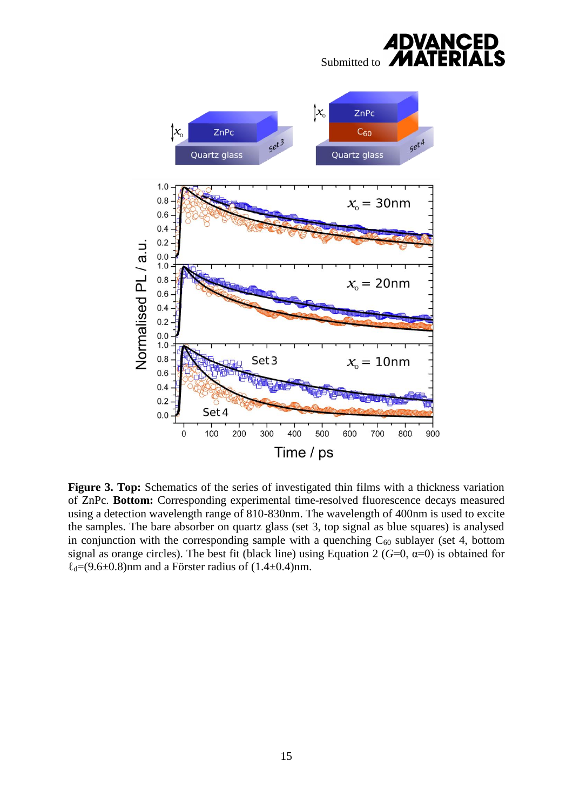

**Figure 3. Top:** Schematics of the series of investigated thin films with a thickness variation of ZnPc. **Bottom:** Corresponding experimental time-resolved fluorescence decays measured using a detection wavelength range of 810-830nm. The wavelength of 400nm is used to excite the samples. The bare absorber on quartz glass (set 3, top signal as blue squares) is analysed in conjunction with the corresponding sample with a quenching  $C_{60}$  sublayer (set 4, bottom signal as orange circles). The best fit (black line) using Equation 2 ( $G=0$ ,  $\alpha=0$ ) is obtained for  $\ell_d$ =(9.6±0.8)nm and a Förster radius of (1.4±0.4)nm.